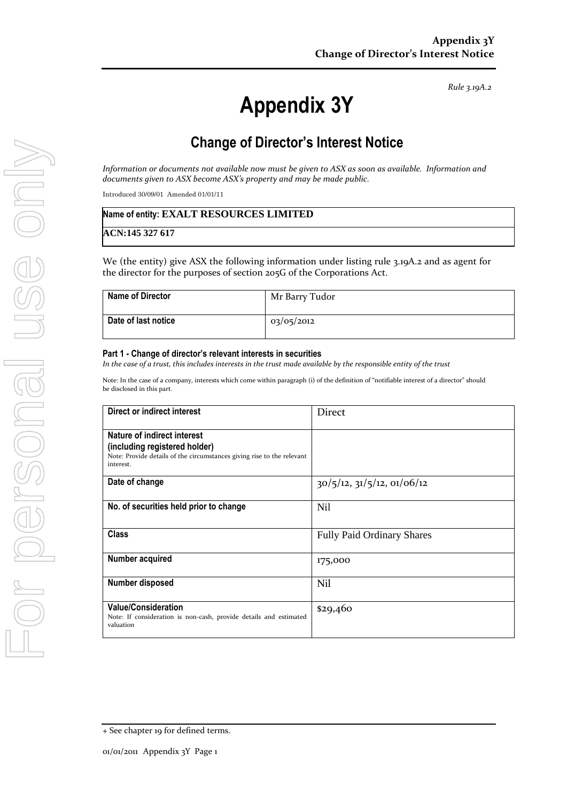*Rule 3.19A.2*

# **Appendix 3Y**

## **Change of Director's Interest Notice**

*Information or documents not available now must be given to ASX as soon as available. Information and documents given to ASX become ASX's property and may be made public.*

Introduced 30/09/01 Amended 01/01/11

#### **Name of entity: EXALT RESOURCES LIMITED**

**ACN:145 327 617**

We (the entity) give ASX the following information under listing rule 3.19A.2 and as agent for the director for the purposes of section 205G of the Corporations Act.

| <b>Name of Director</b> | Mr Barry Tudor |
|-------------------------|----------------|
| Date of last notice     | 03/05/2012     |

#### **Part 1 - Change of director's relevant interests in securities**

*In the case of a trust, this includes interests in the trust made available by the responsible entity of the trust*

| Note: In the case of a company, interests which come within paragraph (i) of the definition of "notifiable interest of a director" should |  |
|-------------------------------------------------------------------------------------------------------------------------------------------|--|
| be disclosed in this part.                                                                                                                |  |

| Direct or indirect interest                                                                                                                         | <b>Direct</b>                      |
|-----------------------------------------------------------------------------------------------------------------------------------------------------|------------------------------------|
| Nature of indirect interest<br>(including registered holder)<br>Note: Provide details of the circumstances giving rise to the relevant<br>interest. |                                    |
| Date of change                                                                                                                                      | $30/5/12$ , $31/5/12$ , $01/06/12$ |
| No. of securities held prior to change                                                                                                              | <b>Nil</b>                         |
| <b>Class</b>                                                                                                                                        | <b>Fully Paid Ordinary Shares</b>  |
| Number acquired                                                                                                                                     | 175,000                            |
| Number disposed                                                                                                                                     | Nil                                |
| <b>Value/Consideration</b><br>Note: If consideration is non-cash, provide details and estimated<br>valuation                                        | \$29,460                           |

<sup>+</sup> See chapter 19 for defined terms.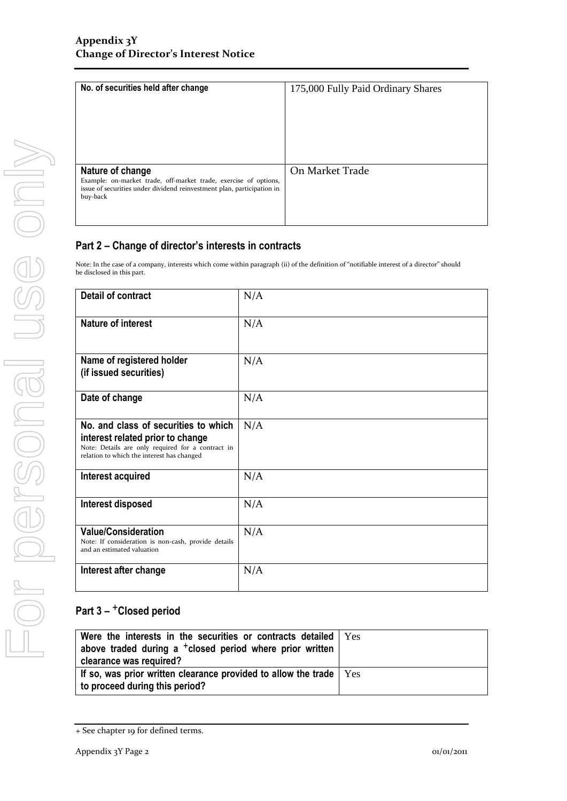| No. of securities held after change                                                                                                                                        | 175,000 Fully Paid Ordinary Shares |
|----------------------------------------------------------------------------------------------------------------------------------------------------------------------------|------------------------------------|
| Nature of change<br>Example: on-market trade, off-market trade, exercise of options,<br>issue of securities under dividend reinvestment plan, participation in<br>buy-back | On Market Trade                    |

### **Part 2 – Change of director's interests in contracts**

Note: In the case of a company, interests which come within paragraph (ii) of the definition of "notifiable interest of a director" should be disclosed in this part.

| <b>Detail of contract</b>                                                                                                                                                   | N/A |
|-----------------------------------------------------------------------------------------------------------------------------------------------------------------------------|-----|
| <b>Nature of interest</b>                                                                                                                                                   | N/A |
| Name of registered holder<br>(if issued securities)                                                                                                                         | N/A |
| Date of change                                                                                                                                                              | N/A |
| No. and class of securities to which<br>interest related prior to change<br>Note: Details are only required for a contract in<br>relation to which the interest has changed | N/A |
| Interest acquired                                                                                                                                                           | N/A |
| Interest disposed                                                                                                                                                           | N/A |
| <b>Value/Consideration</b><br>Note: If consideration is non-cash, provide details<br>and an estimated valuation                                                             | N/A |
| Interest after change                                                                                                                                                       | N/A |

## **Part 3 –** +**Closed period**

| Were the interests in the securities or contracts detailed   Yes<br>above traded during a <sup>+</sup> closed period where prior written<br>clearance was required? |  |
|---------------------------------------------------------------------------------------------------------------------------------------------------------------------|--|
| If so, was prior written clearance provided to allow the trade $\vert$ $\mathrm{Yes}$<br>to proceed during this period?                                             |  |

<sup>+</sup> See chapter 19 for defined terms.